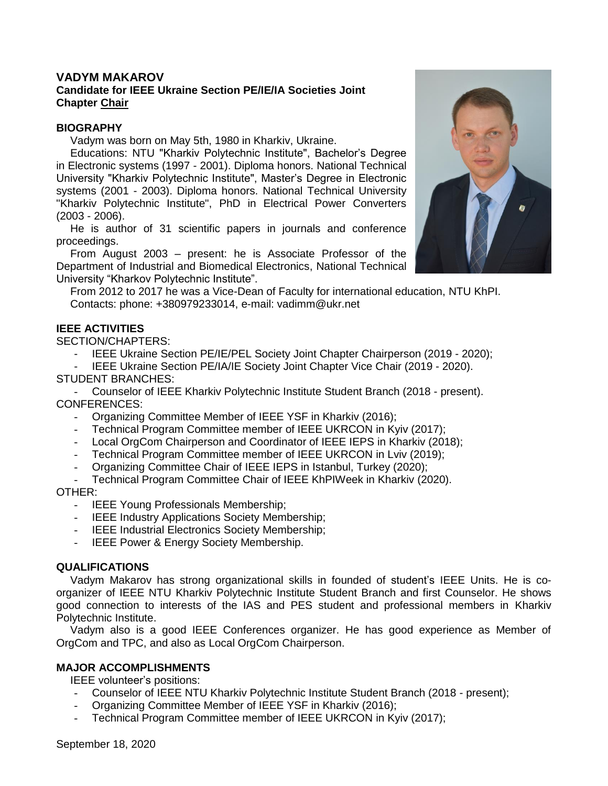# **VADYM MAKAROV**

### **Candidate for IEEE Ukraine Section PE/IE/IA Societies Joint Chapter Chair**

### **BIOGRAPHY**

Vadym was born on May 5th, 1980 in Kharkiv, Ukraine.

Educations: NTU "Kharkiv Polytechnic Institute", Bachelor's Degree in Electronic systems (1997 - 2001). Diploma honors. National Technical University "Kharkiv Polytechnic Institute", Master's Degree in Electronic systems (2001 - 2003). Diploma honors. National Technical University "Kharkiv Polytechnic Institute", PhD in Electrical Power Converters (2003 - 2006).

He is author of 31 scientific papers in journals and conference proceedings.

From August 2003 – present: he is Associate Professor of the Department of Industrial and Biomedical Electronics, National Technical University "Kharkov Polytechnic Institute".

From 2012 to 2017 he was a Vice-Dean of Faculty for international education, NTU KhPI. Contacts: phone: +380979233014, e-mail: vadimm@ukr.net

# **IEEE ACTIVITIES**

SECTION/CHAPTERS:

IEEE Ukraine Section PE/IE/PEL Society Joint Chapter Chairperson (2019 - 2020);

IEEE Ukraine Section PE/IA/IE Society Joint Chapter Vice Chair (2019 - 2020). STUDENT BRANCHES:

- Counselor of IEEE Kharkiv Polytechnic Institute Student Branch (2018 - present). CONFERENCES:

- Organizing Committee Member of IEEE YSF in Kharkiv (2016);
- Technical Program Committee member of IEEE UKRCON in Kyiv (2017);
- Local OrgCom Chairperson and Coordinator of IEEE IEPS in Kharkiv (2018);
- Technical Program Committee member of IEEE UKRCON in Lviv (2019);
- Organizing Committee Chair of IEEE IEPS in Istanbul, Turkey (2020);
- Technical Program Committee Chair of IEEE KhPIWeek in Kharkiv (2020).

#### OTHER:

- IEEE Young Professionals Membership;
- IEEE Industry Applications Society Membership;
- IEEE Industrial Electronics Society Membership;
- IEEE Power & Energy Society Membership.

### **QUALIFICATIONS**

Vadym Makarov has strong organizational skills in founded of student's IEEE Units. He is coorganizer of IEEE NTU Kharkiv Polytechnic Institute Student Branch and first Counselor. He shows good connection to interests of the IAS and PES student and professional members in Kharkiv Polytechnic Institute.

Vadym also is a good IEEE Conferences organizer. He has good experience as Member of OrgCom and TPC, and also as Local OrgCom Chairperson.

### **MAJOR ACCOMPLISHMENTS**

IEEE volunteer's positions:

- Counselor of IEEE NTU Kharkiv Polytechnic Institute Student Branch (2018 present);
- Organizing Committee Member of IEEE YSF in Kharkiv (2016);
- Technical Program Committee member of IEEE UKRCON in Kyiv (2017);